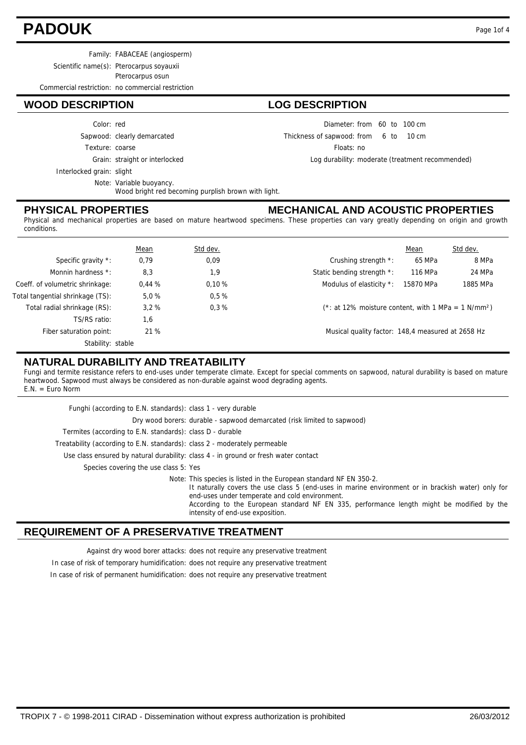## **PADOUK** Page 1of 4

Scientific name(s): Pterocarpus soyauxii

Pterocarpus osun

Commercial restriction: no commercial restriction

#### **WOOD DESCRIPTION LOG DESCRIPTION**

Color: red

Sapwood: clearly demarcated

Texture: coarse

Grain: straight or interlocked

Interlocked grain: slight

Note: Variable buoyancy.

Wood bright red becoming purplish brown with light.

#### **PHYSICAL PROPERTIES**

#### Diameter: from 60 to 100 cm

6 10 Thickness of sapwood:  $10 \text{ cm}$ 

Floats: no

Log durability: moderate (treatment recommended)

### **MECHANICAL AND ACOUSTIC PROPERTIES**

Physical and mechanical properties are based on mature heartwood specimens. These properties can vary greatly depending on origin and growth conditions.

|                                  | Mean  | Std dev. |                                                                    | Mean      | Std dev. |
|----------------------------------|-------|----------|--------------------------------------------------------------------|-----------|----------|
| Specific gravity *:              | 0,79  | 0,09     | Crushing strength *:                                               | 65 MPa    | 8 MPa    |
| Monnin hardness *:               | 8,3   | 1,9      | Static bending strength *:                                         | 116 MPa   | 24 MPa   |
| Coeff. of volumetric shrinkage:  | 0.44% | 0.10%    | Modulus of elasticity *:                                           | 15870 MPa | 1885 MPa |
| Total tangential shrinkage (TS): | 5.0%  | 0.5%     |                                                                    |           |          |
| Total radial shrinkage (RS):     | 3.2%  | 0.3%     | $(*: at 12\%$ moisture content, with 1 MPa = 1 N/mm <sup>2</sup> ) |           |          |
| TS/RS ratio:                     | 1,6   |          |                                                                    |           |          |
| Fiber saturation point:          | 21%   |          | Musical quality factor: 148,4 measured at 2658 Hz                  |           |          |
| Stability: stable                |       |          |                                                                    |           |          |

#### **NATURAL DURABILITY AND TREATABILITY**

Fungi and termite resistance refers to end-uses under temperate climate. Except for special comments on sapwood, natural durability is based on mature heartwood. Sapwood must always be considered as non-durable against wood degrading agents. E.N. = Euro Norm

| Funghi (according to E.N. standards): class 1 - very durable                                                                                                                                                                                                                                                                                                |
|-------------------------------------------------------------------------------------------------------------------------------------------------------------------------------------------------------------------------------------------------------------------------------------------------------------------------------------------------------------|
| Dry wood borers: durable - sapwood demarcated (risk limited to sapwood)                                                                                                                                                                                                                                                                                     |
| Termites (according to E.N. standards): class D - durable                                                                                                                                                                                                                                                                                                   |
| Treatability (according to E.N. standards): class 2 - moderately permeable                                                                                                                                                                                                                                                                                  |
| Use class ensured by natural durability: class 4 - in ground or fresh water contact                                                                                                                                                                                                                                                                         |
| Species covering the use class 5: Yes                                                                                                                                                                                                                                                                                                                       |
| Note: This species is listed in the European standard NF EN 350-2.<br>It naturally covers the use class 5 (end-uses in marine environment or in brackish water) only for<br>end-uses under temperate and cold environment.<br>According to the European standard NF EN 335, performance length might be modified by the<br>intensity of end-use exposition. |

#### **REQUIREMENT OF A PRESERVATIVE TREATMENT**

Against dry wood borer attacks: does not require any preservative treatment

In case of risk of temporary humidification: does not require any preservative treatment

In case of risk of permanent humidification: does not require any preservative treatment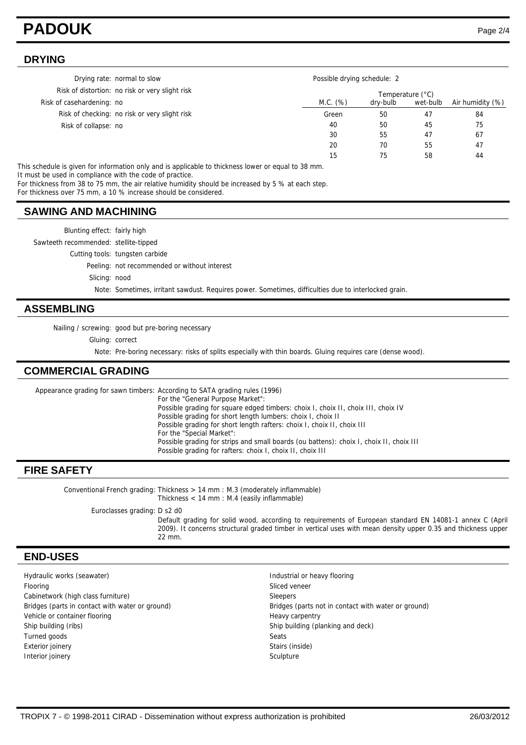## **PADOUK** Page 2/4

#### **DRYING**

| Drying rate: normal to slow                     | Possible drying schedule: 2 |                  |          |                  |  |
|-------------------------------------------------|-----------------------------|------------------|----------|------------------|--|
| Risk of distortion: no risk or very slight risk |                             | Temperature (°C) |          |                  |  |
| Risk of casehardening: no                       | M.C. (%)                    | dry-bulb         | wet-bulb | Air humidity (%) |  |
| Risk of checking: no risk or very slight risk   | Green                       | 50               | 47       | 84               |  |
| Risk of collapse: no                            | 40                          | 50               | 45       | 75               |  |
|                                                 | 30                          | 55               | 47       | 67               |  |
|                                                 | 20                          | 70               | 55       | 47               |  |
|                                                 | 15                          | 75               | 58       | 44               |  |

This schedule is given for information only and is applicable to thickness lower or equal to 38 mm. It must be used in compliance with the code of practice.

For thickness from 38 to 75 mm, the air relative humidity should be increased by 5 % at each step.

For thickness over 75 mm, a 10 % increase should be considered.

#### **SAWING AND MACHINING**

Blunting effect: fairly high Sawteeth recommended: stellite-tipped Cutting tools: tungsten carbide Peeling: not recommended or without interest Slicing: nood Note: Sometimes, irritant sawdust. Requires power. Sometimes, difficulties due to interlocked grain.

#### **ASSEMBLING**

Nailing / screwing: good but pre-boring necessary

Gluing: correct

Note: Pre-boring necessary: risks of splits especially with thin boards. Gluing requires care (dense wood).

#### **COMMERCIAL GRADING**

Appearance grading for sawn timbers: According to SATA grading rules (1996) For the "General Purpose Market": Possible grading for square edged timbers: choix I, choix II, choix III, choix IV Possible grading for short length lumbers: choix I, choix II Possible grading for short length rafters: choix I, choix II, choix III For the "Special Market": Possible grading for strips and small boards (ou battens): choix I, choix II, choix III Possible grading for rafters: choix I, choix II, choix III

#### **FIRE SAFETY**

Conventional French grading: Thickness > 14 mm : M.3 (moderately inflammable) Thickness < 14 mm : M.4 (easily inflammable) Euroclasses grading: D s2 d0

Default grading for solid wood, according to requirements of European standard EN 14081-1 annex C (April 2009). It concerns structural graded timber in vertical uses with mean density upper 0.35 and thickness upper 22 mm.

#### **END-USES**

Hydraulic works (seawater) **Industrial or heavy flooring** industrial or heavy flooring Flooring Sliced veneer Sliced veneer Sliced veneer Sliced veneer Sliced veneer Cabinetwork (high class furniture) Sleepers Vehicle or container flooring Heavy carpentry Heavy carpentry Ship building (ribs) Ship building (planking and deck) Turned goods Seats Exterior joinery **Exterior** in the state of the state of the state of the state of the state of the state of the state of the state of the state of the state of the state of the state of the state of the state of the state Interior joinery Sculpture Sculpture Sculpture Sculpture Sculpture Sculpture

Bridges (parts in contact with water or ground) Bridges (parts not in contact with water or ground)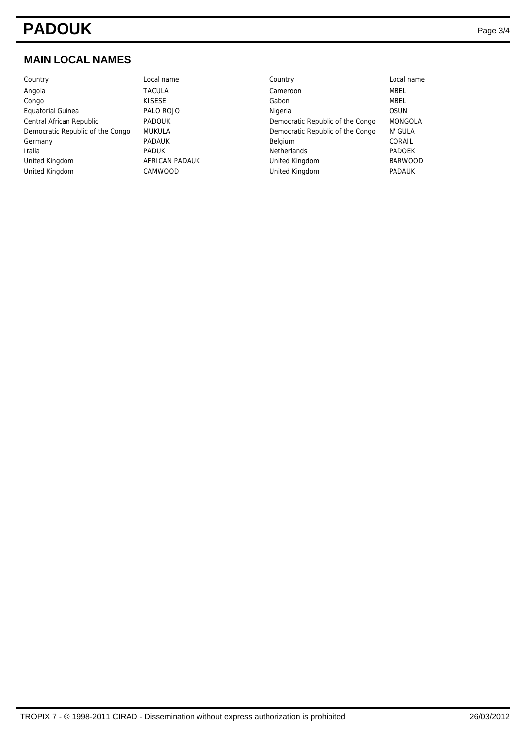# **PADOUK** Page 3/4

### **MAIN LOCAL NAMES**

| Country                          |
|----------------------------------|
| Angola                           |
| Congo                            |
| <b>Equatorial Guinea</b>         |
| Central African Republic         |
| Democratic Republic of the Congo |
| Germany                          |
| Italia                           |
| United Kingdom                   |
| United Kingdom                   |

| Country                          | Local name     | Country                          | Local name     |
|----------------------------------|----------------|----------------------------------|----------------|
| Angola                           | <b>TACULA</b>  | Cameroon                         | MBEL           |
| Congo                            | <b>KISESE</b>  | Gabon                            | <b>MBEL</b>    |
| Equatorial Guinea                | PALO ROJO      | Nigeria                          | <b>OSUN</b>    |
| Central African Republic         | <b>PADOUK</b>  | Democratic Republic of the Congo | <b>MONGOLA</b> |
| Democratic Republic of the Congo | MUKULA         | Democratic Republic of the Congo | N' GULA        |
| Germany                          | <b>PADAUK</b>  | Belgium                          | CORAIL         |
| Italia                           | <b>PADUK</b>   | <b>Netherlands</b>               | <b>PADOEK</b>  |
| United Kingdom                   | AFRICAN PADAUK | United Kingdom                   | <b>BARWOOD</b> |
| United Kingdom                   | CAMWOOD        | United Kingdom                   | <b>PADAUK</b>  |